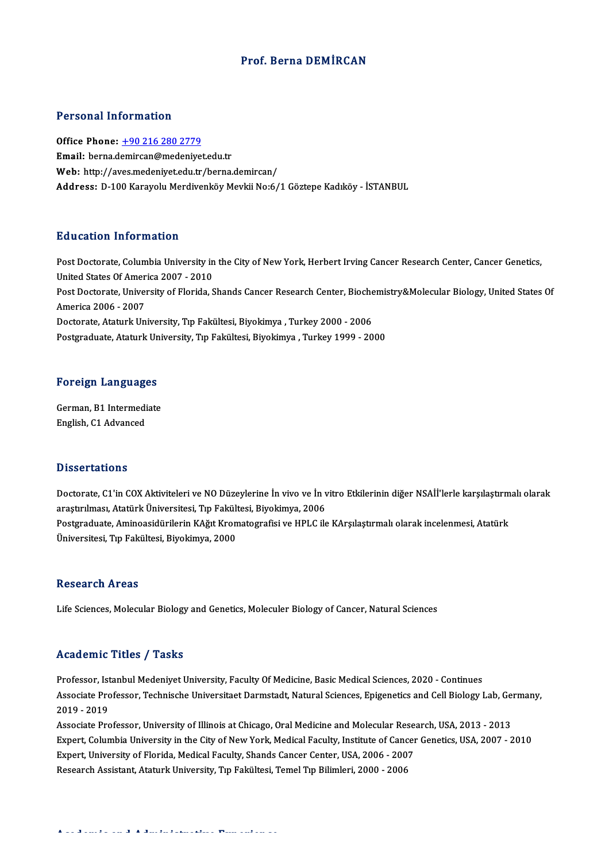### Prof. Berna DEMİRCAN

### Personal Information

Office Phone: +90 216 280 2779 Email: berna.d[emircan@medeniye](tel:+90 216 280 2779)t.edu.tr Web: http://aves.medeniyet.edu.tr/berna.demircan/ Address: D-100 Karayolu Merdivenköy Mevkii No:6/1 Göztepe Kadıköy - İSTANBUL

### Education Information

Post Doctorate, Columbia University in the City of New York, Herbert Irving Cancer Research Center, Cancer Genetics, Post Doctorate, Columbia University in<br>United States Of America 2007 - 2010<br>Post Doctorate University of Florida S Post Doctorate, Columbia University in the City of New York, Herbert Irving Cancer Research Center, Cancer Genetics,<br>United States Of America 2007 - 2010<br>Post Doctorate, University of Florida, Shands Cancer Research Center United States Of Amer<br>Post Doctorate, Univer<br>America 2006 - 2007<br>Postorate, Ataturk Un Post Doctorate, University of Florida, Shands Cancer Research Center, Bioche<br>America 2006 - 2007<br>Doctorate, Ataturk University, Tıp Fakültesi, Biyokimya , Turkey 2000 - 2006<br>Postsraduate, Ataturk University, Tıp Fakültesi, America 2006 - 2007<br>Doctorate, Ataturk University, Tıp Fakültesi, Biyokimya , Turkey 2000 - 2006<br>Postgraduate, Ataturk University, Tıp Fakültesi, Biyokimya , Turkey 1999 - 2000

# rosigraduate, Ataturk on<br>Foreign Languages

Foreign Languages<br>German, B1 Intermediate<br>English C1 Advanced German, B1 Intermediate<br>English, C1 Advanced

#### **Dissertations**

Dissertations<br>Doctorate, C1'in COX Aktiviteleri ve NO Düzeylerine İn vivo ve İn vitro Etkilerinin diğer NSAİİ'lerle karşılaştırmalı olarak<br>arastırılması, Atatürk Üniversitesi, En Fekültesi, Biyekimya, 2006 arastır.<br>Doctorate, C1'in COX Aktiviteleri ve NO Düzeylerine İn vivo ve İn v<br>araştırılması, Atatürk Üniversitesi, Tıp Fakültesi, Biyokimya, 2006<br>Bostaraduata, Aminoasidürilerin KAğıt Kromatografisi ve HBLC ile Doctorate, C1'in COX Aktiviteleri ve NO Düzeylerine İn vivo ve İn vitro Etkilerinin diğer NSAİİ'lerle karşılaştırm<br>araştırılması, Atatürk Üniversitesi, Tıp Fakültesi, Biyokimya, 2006<br>Postgraduate, Aminoasidürilerin KAğıt K araştırılması, Atatürk Üniversitesi, Tıp Fakült<br>Postgraduate, Aminoasidürilerin KAğıt Kron<br>Üniversitesi, Tıp Fakültesi, Biyokimya, 2000 Üniversitesi, Tıp Fakültesi, Biyokimya, 2000<br>Research Areas

Life Sciences, Molecular Biology and Genetics, Moleculer Biology of Cancer, Natural Sciences

### Academic Titles / Tasks

Academic Titles / Tasks<br>Professor, Istanbul Medeniyet University, Faculty Of Medicine, Basic Medical Sciences, 2020 - Continues<br>Associate Professor, Technische Universiteet Dermetedt, Natural Sciences, Frigenetics and Cell Associate Professor, Technische Universitaet Darmstadt, Natural Sciences, Epigenetics and Cell Biology Lab, Germany,<br>2019 - 2019 Professor, Ist<br>Associate Pro<br>2019 - 2019<br>Associate Pro Associate Professor, Technische Universitaet Darmstadt, Natural Sciences, Epigenetics and Cell Biology Lab, Ge<br>2019 - 2019<br>Associate Professor, University of Illinois at Chicago, Oral Medicine and Molecular Research, USA,

2019 - 2019<br>Associate Professor, University of Illinois at Chicago, Oral Medicine and Molecular Research, USA, 2013 - 2013<br>Expert, Columbia University in the City of New York, Medical Faculty, Institute of Cancer Genetics, Associate Professor, University of Illinois at Chicago, Oral Medicine and Molecular Rese.<br>Expert, Columbia University in the City of New York, Medical Faculty, Institute of Cancer<br>Expert, University of Florida, Medical Fac Expert, Columbia University in the City of New York, Medical Faculty, Institute of Cancer Genetics, USA, 2007 - 2010<br>Expert, University of Florida, Medical Faculty, Shands Cancer Center, USA, 2006 - 2007<br>Research Assistant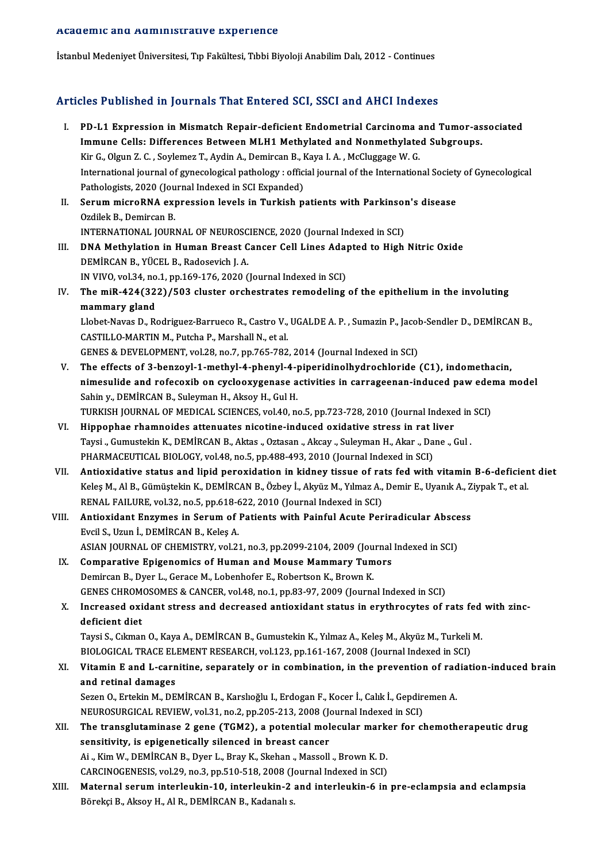#### Academic and Administrative Experience

İstanbul Medeniyet Üniversitesi, Tıp Fakültesi, Tıbbi Biyoloji Anabilim Dalı, 2012 - Continues

# Articles Published in Journals That Entered SCI, SSCI and AHCI Indexes

rticles Published in Journals That Entered SCI, SSCI and AHCI Indexes<br>I. PD-L1 Expression in Mismatch Repair-deficient Endometrial Carcinoma and Tumor-associated<br>Immune Celle: Differences Petucan MLH1 Methylated and Nonmet Institute a material statement of the Substitute International Substitute of the Microsoftheory.<br>Immune Cells: Differences Between MLH1 Methylated and Nonmethylated Subgroups.<br>Vir C. Olgun 7. C. Sovlemer T. Avdin A. Demire PD-L1 Expression in Mismatch Repair-deficient Endometrial Carcinoma and Monmethylate Immune Cells: Differences Between MLH1 Methylated and Nonmethylate<br>Kir G., Olgun Z. C. , Soylemez T., Aydin A., Demircan B., Kaya I. A. , Immune Cells: Differences Between MLH1 Methylated and Nonmethylated Subgroups.<br>Kir G., Olgun Z. C. , Soylemez T., Aydin A., Demircan B., Kaya I. A. , McCluggage W. G.<br>International journal of gynecological pathology : offi Kir G., Olgun Z. C., Soylemez T., Aydin A., Demircan B., Kaya I. A., McCluggage W. G. International journal of gynecological pathology : official journal of the International Society<br>Pathologists, 2020 (Journal Indexed in SCI Expanded)<br>II. Serum microRNA expression levels in Turkish patients with Parkinson' Pathologists, 2020 (Journal Indexed in SCI Expanded)<br>Serum microRNA expression levels in Turkish p<br>Ozdilek B., Demircan B. Serum microRNA expression levels in Turkish patients with Parkinson<br>Ozdilek B., Demircan B.<br>INTERNATIONAL JOURNAL OF NEUROSCIENCE, 2020 (Journal Indexed in SCI)<br>DNA Methylstion in Human Breast Cancer Cell Lines Adapted to III. DNA Methylation in Human Breast Cancer Cell Lines Adapted to High Nitric Oxide<br>DEMIRCAN B., YÜCEL B., Radosevich J. A. INTERNATIONAL JOURNAL OF NEUROSCIENCE, 2020 (Journal Indexed in SCI) DNA Methylation in Human Breast Cancer Cell Lines Adap<br>DEMİRCAN B., YÜCEL B., Radosevich J. A.<br>IN VIVO, vol.34, no.1, pp.169-176, 2020 (Journal Indexed in SCI)<br>The miP 424(222) (502 cluster ershestrates remodeling IV. The miR-424(322)/503 cluster orchestrates remodeling of the epithelium in the involuting mammary gland IN VIVO, vol.34, no<br>The miR-424(32<br>mammary gland<br>Llabet Naves D. B. The miR-424(322)/503 cluster orchestrates remodeling of the epithelium in the involuting<br>mammary gland<br>Llobet-Navas D., Rodriguez-Barrueco R., Castro V., UGALDE A. P. , Sumazin P., Jacob-Sendler D., DEMİRCAN B.,<br>CASTU LO M mammary gland<br>Llobet-Navas D., Rodriguez-Barrueco R., Castro V.,<br>CASTILLO-MARTIN M., Putcha P., Marshall N., et al.<br>CENES & DEVELOPMENT, vol 39, no 7, np.765, 792 CASTILLO-MARTIN M., Putcha P., Marshall N., et al.<br>GENES & DEVELOPMENT, vol.28, no.7, pp.765-782, 2014 (Journal Indexed in SCI) V. The effects of 3-benzoyl-1-methyl-4-phenyl-4-piperidinolhydrochloride (C1), indomethacin, nimesulide and rofecoxib on cyclooxygenase activities in carrageenan-induced pawedemamodel Sahin y., DEMİRCAN B., Suleyman H., Aksoy H., Gul H. nimesulide and rofecoxib on cyclooxygenase activities in carrageenan-induced paw eder<br>Sahin y., DEMİRCAN B., Suleyman H., Aksoy H., Gul H.<br>TURKISH JOURNAL OF MEDICAL SCIENCES, vol.40, no.5, pp.723-728, 2010 (Journal Indexe Sahin y., DEMİRCAN B., Suleyman H., Aksoy H., Gul H.<br>TURKISH JOURNAL OF MEDICAL SCIENCES, vol.40, no.5, pp.723-728, 2010 (Journal Indexe<br>VI. Hippophae rhamnoides attenuates nicotine-induced oxidative stress in rat liver<br>Ta TURKISH JOURNAL OF MEDICAL SCIENCES, vol.40, no.5, pp.723-728, 2010 (Journal Indexed in<br>Hippophae rhamnoides attenuates nicotine-induced oxidative stress in rat liver<br>Taysi ., Gumustekin K., DEMİRCAN B., Aktas ., Oztasan . VI. Hippophae rhamnoides attenuates nicotine-induced oxidative stress in rat liver<br>Taysi ., Gumustekin K., DEMİRCAN B., Aktas ., Oztasan ., Akcay ., Suleyman H., Akar ., Dane ., Gul .<br>PHARMACEUTICAL BIOLOGY, vol.48, no.5, VII. Antioxidative status and lipid peroxidation in kidney tissue of rats fed with vitamin B-6-deficient diet PHARMACEUTICAL BIOLOGY, vol.48, no.5, pp.488-493, 2010 (Journal Indexed in SCI)<br>Antioxidative status and lipid peroxidation in kidney tissue of rats fed with vitamin B-6-deficien<br>Keleş M., Al B., Gümüştekin K., DEMİRCAN B. Antioxidative status and lipid peroxidation in kidney tissue of ra<br>Keleş M., Al B., Gümüştekin K., DEMİRCAN B., Özbey İ., Akyüz M., Yılmaz A.,<br>RENAL FAILURE, vol.32, no.5, pp.618-622, 2010 (Journal Indexed in SCI)<br>Antioxid Keleş M., Al B., Gümüştekin K., DEMİRCAN B., Özbey İ., Akyüz M., Yılmaz A., Demir E., Uyanık A., Z<br>RENAL FAILURE, vol.32, no.5, pp.618-622, 2010 (Journal Indexed in SCI)<br>VIII. Antioxidant Enzymes in Serum of Patients with RENAL FAILURE, vol.32, no.5, pp.618-622, 2010 (Journal Indexed in SCI)<br>Antioxidant Enzymes in Serum of Patients with Painful Acute Periradicular Abscess<br>Evcil S., Uzun İ., DEMİRCAN B., Keleş A. Antioxidant Enzymes in Serum of Patients with Painful Acute Periradicular Absce<br>Evcil S., Uzun İ., DEMİRCAN B., Keleş A.<br>ASIAN JOURNAL OF CHEMISTRY, vol.21, no.3, pp.2099-2104, 2009 (Journal Indexed in SCI)<br>Comparative Eni Evcil S., Uzun İ., DEMİRCAN B., Keleş A.<br>ASIAN JOURNAL OF CHEMISTRY, vol.21, no.3, pp.2099-2104, 2009 (Journal<br>IX. Comparative Epigenomics of Human and Mouse Mammary Tumors<br>Domingen B. Dygr J. Comas M. Lobonhofon E. Bohart ASIAN JOURNAL OF CHEMISTRY, vol.21, no.3, pp.2099-2104, 2009 (Jou<br>Comparative Epigenomics of Human and Mouse Mammary Tum<br>Demircan B., Dyer L., Gerace M., Lobenhofer E., Robertson K., Brown K.<br>CENES CUROMOSOMES & CANCER vol Comparative Epigenomics of Human and Mouse Mammary Tumors<br>Demircan B., Dyer L., Gerace M., Lobenhofer E., Robertson K., Brown K.<br>GENES CHROMOSOMES & CANCER, vol.48, no.1, pp.83-97, 2009 (Journal Indexed in SCI)<br>Increased o Demircan B., Dyer L., Gerace M., Lobenhofer E., Robertson K., Brown K.<br>GENES CHROMOSOMES & CANCER, vol.48, no.1, pp.83-97, 2009 (Journal Indexed in SCI)<br>X. Increased oxidant stress and decreased antioxidant status in eryth **GENES CHROM<br>Increased oxi<br>deficient diet**<br>Tavei S. Cilmar Increased oxidant stress and decreased antioxidant status in erythrocytes of rats fed<br>deficient diet<br>Taysi S., Cıkman O., Kaya A., DEMİRCAN B., Gumustekin K., Yılmaz A., Keleş M., Akyüz M., Turkeli M.<br>PIOLOCICAL TRACE ELEM deficient diet<br>Taysi S., Cıkman O., Kaya A., DEMİRCAN B., Gumustekin K., Yılmaz A., Keleş M., Akyüz M., Turkeli M.<br>BIOLOGICAL TRACE ELEMENT RESEARCH, vol.123, pp.161-167, 2008 (Journal Indexed in SCI) Taysi S., Cıkman O., Kaya A., DEMİRCAN B., Gumustekin K., Yılmaz A., Keleş M., Akyüz M., Turkeli M.<br>BIOLOGICAL TRACE ELEMENT RESEARCH, vol.123, pp.161-167, 2008 (Journal Indexed in SCI)<br>XI. Vitamin E and L-carnitine, s BIOLOGICAL TRACE ELL<br>Vitamin E and L-carn<br>and retinal damages<br>Sezen O, Ertekin M, DE Vitamin E and L-carnitine, separately or in combination, in the prevention of rad<br>and retinal damages<br>Sezen O., Ertekin M., DEMİRCAN B., Karslıoğlu I., Erdogan F., Kocer İ., Calık İ., Gepdiremen A.<br>NEUPOSUPCICAL PEVIEW, vo and retinal damages<br>Sezen O., Ertekin M., DEMİRCAN B., Karslıoğlu I., Erdogan F., Kocer İ., Calık İ., Gepdiremen A. XII. The transglutaminase 2 gene (TGM2), a potential molecular marker for chemotherapeutic drug sensitivity, is epigenetically silenced in breast cancer NEUROSURGICAL REVIEW, vol.31, no.2, pp.205-213, 2008 (Journal Indexed in SCI) The transglutaminase 2 gene (TGM2), a potential molecular mark<br>sensitivity, is epigenetically silenced in breast cancer<br>Ai ., Kim W., DEMİRCAN B., Dyer L., Bray K., Skehan., Massoll., Brown K. D.<br>CARCINOCENESIS .vel 29 no sensitivity, is epigenetically silenced in breast cancer<br>Ai ., Kim W., DEMİRCAN B., Dyer L., Bray K., Skehan ., Massoll ., Brown K. D.<br>CARCINOGENESIS, vol.29, no.3, pp.510-518, 2008 (Journal Indexed in SCI)<br>Maternal serum XIII. Maternal serum interleukin-10, interleukin-2 and interleukin-6 in pre-eclampsia and eclampsia<br>Börekci B., Aksoy H., Al R., DEMİRCAN B., Kadanalı s. CARCINOGENESIS, vol.29, no.3, pp.510-518, 2008 (Journal Indexed in SCI)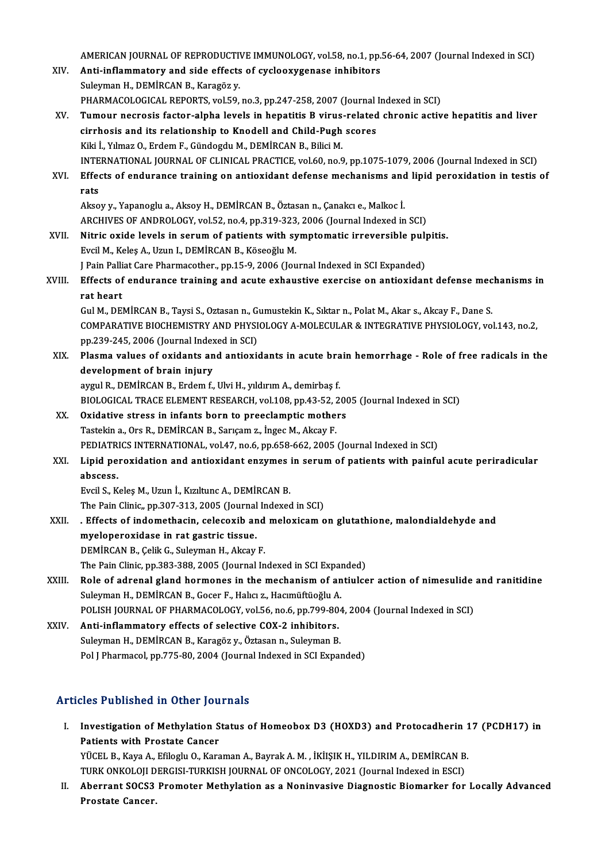AMERICAN JOURNAL OF REPRODUCTIVE IMMUNOLOGY, vol.58, no.1, pp.56-64, 2007 (Journal Indexed in SCI)<br>Anti-inflammateur and side effects of syclogyyzanese inhibitans

AMERICAN JOURNAL OF REPRODUCTIVE IMMUNOLOGY, vol.58, no.1, pp.<br>XIV. Anti-inflammatory and side effects of cyclooxygenase inhibitors AMERICAN JOURNAL OF REPRODUCTIV<br>**Anti-inflammatory and side effects**<br>Suleyman H., DEMİRCAN B., Karagöz y.<br>PHAPMACOLOCICAL PEPOPTS, val 50 Anti-inflammatory and side effects of cyclooxygenase inhibitors<br>Suleyman H., DEMİRCAN B., Karagöz y.<br>PHARMACOLOGICAL REPORTS, vol.59, no.3, pp.247-258, 2007 (Journal Indexed in SCI)<br>Tumour negresis faster alpha levels in b Suleyman H., DEMİRCAN B., Karagöz y.<br>PHARMACOLOGICAL REPORTS, vol.59, no.3, pp.247-258, 2007 (Journal Indexed in SCI)<br>XV. Tumour necrosis factor-alpha levels in hepatitis B virus-related chronic active hepatitis and li PHARMACOLOGICAL REPORTS, vol.59, no.3, pp.247-258, 2007 (Journal<br>Tumour necrosis factor-alpha levels in hepatitis B virus-related<br>cirrhosis and its relationship to Knodell and Child-Pugh scores<br><sup>Kiki I</sup> Vilmaz O. Erdam E. Kiki İ., Yılmaz O., Erdem F., Gündogdu M., DEMİRCAN B., Bilici M. INTERNATIONAL JOURNAL OF CLINICAL PRACTICE, vol.60, no.9, pp.1075-1079, 2006 (Journal Indexed in SCI) Kiki İ., Yılmaz O., Erdem F., Gündogdu M., DEMİRCAN B., Bilici M.<br>INTERNATIONAL JOURNAL OF CLINICAL PRACTICE, vol.60, no.9, pp.1075-1079, 2006 (Journal Indexed in SCI)<br>XVI. Effects of endurance training on antioxidant **INTE**<br>Effer<br>rats Effects of endurance training on antioxidant defense mechanisms and<br>rats<br>Aksoy y., Yapanoglu a., Aksoy H., DEMİRCAN B., Öztasan n., Çanakcı e., Malkoc İ.<br>ARCHIVES OF ANDROLOCY vel 52. no.4.nn 319,323, 2006 (Jaurnal Indoved rats<br>Aksoy y., Yapanoglu a., Aksoy H., DEMİRCAN B., Öztasan n., Çanakcı e., Malkoc İ.<br>ARCHIVES OF ANDROLOGY, vol.52, no.4, pp.319-323, 2006 (Journal Indexed in SCI) Aksoy y., Yapanoglu a., Aksoy H., DEMİRCAN B., Öztasan n., Çanakcı e., Malkoc İ.<br>ARCHIVES OF ANDROLOGY, vol.52, no.4, pp.319-323, 2006 (Journal Indexed in SCI)<br>XVII. Nitric oxide levels in serum of patients with symptomati EvcilM.,KeleşA.,UzunI.,DEMİRCANB.,KöseoğluM. Nitric oxide levels in serum of patients with symptomatic irreversible pul<sub>l</sub><br>Evcil M., Keleş A., Uzun I., DEMİRCAN B., Köseoğlu M.<br>J Pain Palliat Care Pharmacother., pp.15-9, 2006 (Journal Indexed in SCI Expanded)<br>Effects Evcil M., Keleş A., Uzun I., DEMİRCAN B., Köseoğlu M.<br>J Pain Palliat Care Pharmacother., pp.15-9, 2006 (Journal Indexed in SCI Expanded)<br>XVIII. Effects of endurance training and acute exhaustive exercise on antioxidant J Pain Palliat Care Pharmacother., pp.15-9, 2006 (Journal Indexed in SCI Expanded)<br>Effects of endurance training and acute exhaustive exercise on antioxidant defense mec<br>rat heart<br>Gul M., DEMİRCAN B., Taysi S., Oztasan n., Effects of endurance training and acute exhaustive exercise on antioxidant defense mec<br>rat heart<br>Gul M., DEMİRCAN B., Taysi S., Oztasan n., Gumustekin K., Sıktar n., Polat M., Akar s., Akcay F., Dane S.<br>COMBARATIVE PIOCHEM COMPARATIVE BIOCHEMISTRY AND PHYSIOLOGY A-MOLECULAR & INTEGRATIVE PHYSIOLOGY, vol.143, no.2, Gul M., DEMİRCAN B., Taysi S., Oztasan n., G.<br>COMPARATIVE BIOCHEMISTRY AND PHYSI<br>pp.239-245, 2006 (Journal Indexed in SCI)<br>Plasma values of ovidanta and antioxi: XIX. Plasma values of oxidants and antioxidants in acute brain hemorrhage - Role of free radicals in the pp.239-245, 2006 (Journal Index<br>Plasma values of oxidants an<br>development of brain injury<br>avgul B. DEMIPCAN B. Erdom f aygul R., DEMİRCAN B., Erdem f., Ulvi H., yıldırım A., demirbaş f. development of brain injury<br>aygul R., DEMİRCAN B., Erdem f., Ulvi H., yıldırım A., demirbaş f.<br>BIOLOGICAL TRACE ELEMENT RESEARCH, vol.108, pp.43-52, 2005 (Journal Indexed in SCI)<br>Qvidative stress in infants bern te preesla aygul R., DEMİRCAN B., Erdem f., Ulvi H., yıldırım A., demirbaş f.<br>BIOLOGICAL TRACE ELEMENT RESEARCH, vol.108, pp.43-52, 200<br>XX. Oxidative stress in infants born to preeclamptic mothers<br>Testelin a. Ors B. DEMİRCAN B. Sarıs BIOLOGICAL TRACE ELEMENT RESEARCH, vol.108, pp.43-52, 2<br>Oxidative stress in infants born to preeclamptic mothe<br>Tastekin a., Ors R., DEMİRCAN B., Sarıçam z., İngec M., Akcay F.<br>PEDIATRICS INTERNATIONAL, vol.47, po.6, pp.658 Oxidative stress in infants born to preeclamptic mothers<br>Tastekin a., Ors R., DEMİRCAN B., Sarıçam z., İngec M., Akcay F.<br>PEDIATRICS INTERNATIONAL, vol.47, no.6, pp.658-662, 2005 (Journal Indexed in SCI)<br>Linid penevidation Tastekin a., Ors R., DEMİRCAN B., Sarıçam z., İngec M., Akcay F.<br>PEDIATRICS INTERNATIONAL, vol.47, no.6, pp.658-662, 2005 (Journal Indexed in SCI)<br>XXI. Lipid peroxidation and antioxidant enzymes in serum of patients wi PEDIATR<br>Lipid pe:<br>abscess.<br>Eveil S. K EvcilS.,KeleşM.,Uzunİ.,KızıltuncA.,DEMİRCANB. The Pain Clinic, pp.307-313, 2005 (Journal Indexed in SCI) Evcil S., Keleş M., Uzun İ., Kızıltunc A., DEMİRCAN B.<br>The Pain Clinic,, pp.307-313, 2005 (Journal Indexed in SCI)<br>XXII. . Effects of indomethacin, celecoxib and meloxicam on glutathione, malondialdehyde and<br>myclonerev The Pain Clinic,, pp.307-313, 2005 (Journal<br>**Explores in Financia and September 1**<br>myeloperoxidase in rat gastric tissue. Effects of indomethacin, celecoxib and<br>myeloperoxidase in rat gastric tissue.<br>DEMİRCAN B., Çelik G., Suleyman H., Akcay F.<br>The Pein Clinia nn 292, 299, 2005 (Journal In myeloperoxidase in rat gastric tissue.<br>DEMİRCAN B., Çelik G., Suleyman H., Akcay F.<br>The Pain Clinic, pp.383-388, 2005 (Journal Indexed in SCI Expanded)<br>Pele of adrenal gland hormanes in the mashanism of antiules DEMIRCAN B., Çelik G., Suleyman H., Akcay F.<br>The Pain Clinic, pp.383-388, 2005 (Journal Indexed in SCI Expanded)<br>XXIII. Role of adrenal gland hormones in the mechanism of antiulcer action of nimesulide and ranitidine<br>Suley The Pain Clinic, pp.383-388, 2005 (Journal Indexed in SCI Expans Role of adrenal gland hormones in the mechanism of an Suleyman H., DEMIRCAN B., Gocer F., Halıcı z., Hacımüftüoğlu A. Role of adrenal gland hormones in the mechanism of antiulcer action of nimesulide<br>Suleyman H., DEMİRCAN B., Gocer F., Halıcı z., Hacımüftüoğlu A.<br>POLISH JOURNAL OF PHARMACOLOGY, vol.56, no.6, pp.799-804, 2004 (Journal Inde XXIV. Anti-inflammatory effects of selective COX-2 inhibitors.<br>Suleyman H., DEMIRCAN B., Karagöz y., Öztasan n., Suleyman B. POLISH JOURNAL OF PHARMACOLOGY, vol.56, no.6, pp.799-804<br>Anti-inflammatory effects of selective COX-2 inhibitors.<br>Suleyman H., DEMİRCAN B., Karagözy., Öztasan n., Suleyman B.<br>Pol.J Pharmacol pp.775-90, 2004 (Journal Indove Pol J Pharmacol, pp.775-80, 2004 (Journal Indexed in SCI Expanded)

# Articles Published in Other Journals

- rticles Published in Other Journals<br>I. Investigation of Methylation Status of Homeobox D3 (HOXD3) and Protocadherin 17 (PCDH17) in<br>Retients with Prestate Canser Patients with Prostate Cancer<br>Patients with Prostate Cancer<br>VÜCEL B. Kaya A. Efilesly O. Kaya Investigation of Methylation Status of Homeobox D3 (HOXD3) and Protocadherin 1<br>Patients with Prostate Cancer<br>YÜCEL B., Kaya A., Efiloglu O., Karaman A., Bayrak A. M. , İKİIŞIK H., YILDIRIM A., DEMİRCAN B.<br>TURK ONKOLOU DERÇ Patients with Prostate Cancer<br>YÜCEL B., Kaya A., Efiloglu O., Karaman A., Bayrak A. M. , İKİIŞIK H., YILDIRIM A., DEMİRCAN B<br>TURK ONKOLOJI DERGISI-TURKISH JOURNAL OF ONCOLOGY, 2021 (Journal Indexed in ESCI)<br>Aberrent SOCS2 TURK ONKOLOJI DERGISI-TURKISH JOURNAL OF ONCOLOGY, 2021 (Journal Indexed in ESCI)
- II. Aberrant SOCS3 Promoter Methylation as a Noninvasive Diagnostic Biomarker for Locally Advanced<br>Prostate Cancer.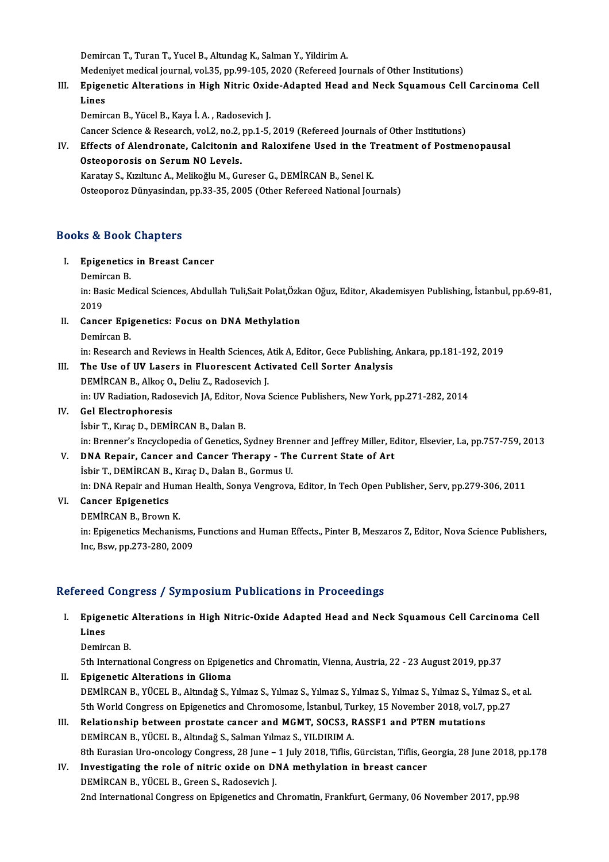Demircan T., Turan T., Yucel B., Altundag K., Salman Y., Yildirim A.

Demircan T., Turan T., Yucel B., Altundag K., Salman Y., Yildirim A.<br>Medeniyet medical journal, vol.35, pp.99-105, 2020 (Refereed Journals of Other Institutions)<br>Enigenatie Alterations in High Nitrie Ovide Adanted Head and

Demircan T., Turan T., Yucel B., Altundag K., Salman Y., Yildirim A.<br>Medeniyet medical journal, vol.35, pp.99-105, 2020 (Refereed Journals of Other Institutions)<br>III. Epigenetic Alterations in High Nitric Oxide-Adapted Hea Meden<br><mark>Epige</mark><br>Lines<br><sup>Domin</sup> Epigenetic Alterations in High Nitric Oxid<br>Lines<br>Demircan B., Yücel B., Kaya İ.A. , Radosevich J.<br>Cancer Sciance & Besearch vel 2.no 2.nn 1.5. Lines<br>Demircan B., Yücel B., Kaya İ. A. , Radosevich J.<br>Cancer Science & Research, vol.2, no.2, pp.1-5, 2019 (Refereed Journals of Other Institutions)

Demircan B., Yücel B., Kaya İ. A. , Radosevich J.<br>Cancer Science & Research, vol.2, no.2, pp.1-5, 2019 (Refereed Journals of Other Institutions)<br>IV. Effects of Alendronate, Calcitonin and Raloxifene Used in the Treatment o Cancer Science & Research, vol.2, no.2,<br>Effects of Alendronate, Calcitonin<br>Osteoporosis on Serum NO Levels.<br>Karatav S. Kurltung A. Molikoğlu M. Gu Effects of Alendronate, Calcitonin and Raloxifene Used in the T<br>Osteoporosis on Serum NO Levels.<br>Karatay S., Kızıltunc A., Melikoğlu M., Gureser G., DEMİRCAN B., Senel K.<br>Osteoporos Dünyasindan np 32-25-2005 (Other Peferee Osteoporosis on Serum NO Levels.<br>Karatay S., Kızıltunc A., Melikoğlu M., Gureser G., DEMİRCAN B., Senel K.<br>Osteoporoz Dünyasindan, pp.33-35, 2005 (Other Refereed National Journals)

## Books&Book Chapters

- ooks & Book Chapters<br>I. Epigenetics in Breast Cancer<br>Domissan B Epigenetics<br>Demircan B.<br>in: Pagia Mag
	-

Epigenetics in Breast Cancer<br>Demircan B.<br>in: Basic Medical Sciences, Abdullah Tuli,Sait Polat,Özkan Oğuz, Editor, Akademisyen Publishing, İstanbul, pp.69-81, Demir<br>in: Bas<br>2019<br>Canas in: Basic Medical Sciences, Abdullah Tuli,Sait Polat,Özk<br>2019<br>II. Cancer Epigenetics: Focus on DNA Methylation<br>Demirson B

2019<br>Cancer Epi<sub>l</sub><br>Demircan B.<br>in: Pessarsh Demircan B.<br>in: Research and Reviews in Health Sciences, Atik A, Editor, Gece Publishing, Ankara, pp.181-192, 2019

- III. The Use of UV Lasers in Fluorescent Activated Cell Sorter Analysis DEMİRCANB.,AlkoçO.,Deliu Z.,Radosevich J. in: UV Radiation, Radosevich JA, Editor, Nova Science Publishers, New York, pp.271-282, 2014
- IV. Gel Electrophoresis İsbir T., Kıraç D., DEMİRCAN B., Dalan B. in: Brenner's Encyclopedia of Genetics, Sydney Brenner and Jeffrey Miller, Editor, Elsevier, La, pp.757-759, 2013
- V. DNA Repair, Cancer and Cancer Therapy The Current State of Art İsbir T., DEMİRCAN B., Kıraç D., Dalan B., Gormus U. DNA Repair, Cancer and Cancer Therapy - The Current State of Art<br>İsbir T., DEMİRCAN B., Kıraç D., Dalan B., Gormus U.<br>in: DNA Repair and Human Health, Sonya Vengrova, Editor, In Tech Open Publisher, Serv, pp.279-306, 2011<br> in: DNA Repair and Hum<br>Cancer Epigenetics<br>DEMİRCAN B., Brown K.<br>in: Enisenetise Meshanis
- VI. Cancer Epigenetics<br>DEMIRCAN B., Brown K.
	-

in: Epigenetics Mechanisms, Functions and Human Effects., Pinter B, Meszaros Z, Editor, Nova Science Publishers, Inc,Bsw,pp.273-280,2009

# Refereed Congress / Symposium Publications in Proceedings

efereed Congress / Symposium Publications in Proceedings<br>I. Epigenetic Alterations in High Nitric-Oxide Adapted Head and Neck Squamous Cell Carcinoma Cell<br>Lines reed<br>Epiger<br>Lines<br><sup>Domin</sup> Epigenetic<br>Lines<br>Demircan B.<br>Eth Interneti Lines<br>Demircan B.<br>5th International Congress on Epigenetics and Chromatin, Vienna, Austria, 22 - 23 August 2019, pp.37<br>Enigenetic Alterations in Clieme

- Demircan B.<br>5th International Congress on Epigenetics and Chromatin, Vienna, Austria, 22 23 August 2019, pp.37<br>II. Epigenetic Alterations in Glioma<br>DEMİRCAN B., YÜCEL B., Altındağ S., Yılmaz S., Yılmaz S., Yılmaz S., Yıl 5th International Congress on Epigenetics and Chromatin, Vienna, Austria, 22 - 23 August 2019, pp.37<br>**Epigenetic Alterations in Glioma**<br>DEMİRCAN B., YÜCEL B., Altındağ S., Yılmaz S., Yılmaz S., Yılmaz S., Yılmaz S., Yılmaz 5th World Congress on Epigenetics and Chromosome, İstanbul, Turkey, 15 November 2018, vol.7, pp.27 DEMIRCAN B., YÜCEL B., Altındağ S., Yılmaz S., Yılmaz S., Yılmaz S., Yılmaz S., Yılmaz S., Yılmaz S., Yılmaz S., Yılmaz S., Yılmaz S., Yılmaz S., Yılmaz S., Yılmaz S., Yılmaz S., Yılmaz S., Yılmaz S., Yılmaz S., Yılmaz S.,
- 5th World Congress on Epigenetics and Chromosome, İstanbul, Tu<br>Relationship between prostate cancer and MGMT, SOCS3, F<br>DEMİRCAN B., YÜCEL B., Altındağ S., Salman Yılmaz S., YILDIRIM A.<br>9th Eunosian Ure engelegy Congress, 2 BEMİRCAN B., YÜCEL B., Altındağ S., Salman Yılmaz S., YILDIRIM A.<br>8th Eurasian Uro-oncology Congress, 28 June – 1 July 2018, Tiflis, Gürcistan, Tiflis, Georgia, 28 June 2018, pp.178 DEMIRCAN B., YÜCEL B., Altındağ S., Salman Yılmaz S., YILDIRIM A.<br>8th Eurasian Uro-oncology Congress, 28 June – 1 July 2018, Tiflis, Gürcistan, Tiflis, G.<br>IV. Investigating the role of nitric oxide on DNA methylation in br
- 8th Eurasian Uro-oncology Congress, 28 June –<br>Investigating the role of nitric oxide on DJ<br>DEMİRCAN B., YÜCEL B., Green S., Radosevich J.<br>2nd International Congress on Enigenatics and t DEMİRCAN B., YÜCEL B., Green S., Radosevich J.<br>2nd International Congress on Epigenetics and Chromatin, Frankfurt, Germany, 06 November 2017, pp.98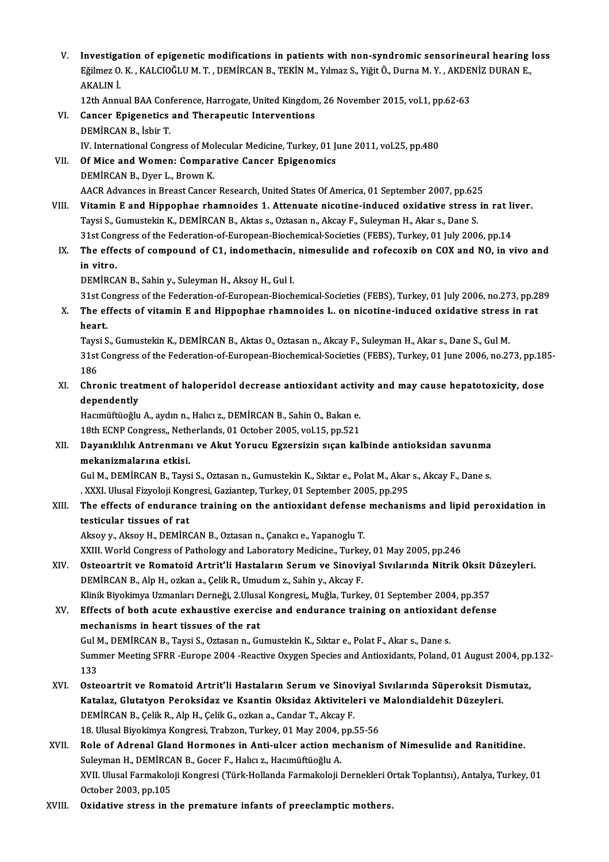- V. Investigation of epigenetic modifications in patients with non-syndromic sensorineural hearing loss<br>Fälmer 0 K, KALCIOČLUM T, DEMIRCAN P, TEKİN M, Vılmar S, Viğit Ö, Dunna M, V, AKDENİZ DURAN E Investigation of epigenetic modifications in patients with non-syndromic sensorineural hearing :<br>Eğilmez O. K. , KALCIOĞLU M. T. , DEMİRCAN B., TEKİN M., Yılmaz S., Yiğit Ö., Durna M. Y. , AKDENİZ DURAN E., Investiga<br>Eğilmez O.<br>AKALIN İ. Eğilmez O. K. , KALCIOĞLU M. T. , DEMİRCAN B., TEKİN M., Yılmaz S., Yiğit Ö., Durna M. Y. , AKDENİZ DURAN E.,<br>AKALIN İ. VI. Cancer Epigenetics and Therapeutic Interventions<br>DEMIRCAN B., İsbir T. 12th Annual BAA Conference, Harrogate, United Kingdom, 26 November 2015, vol.1, pp.62-63 Cancer Epigenetics and Therapeutic Interventions<br>DEMİRCAN B., İsbir T.<br>IV. International Congress of Molecular Medicine, Turkey, 01 June 2011, vol.25, pp.480<br>Of Mise and Wemeny Comparative Canser Enisonemiss VII. Of Mice and Women: Comparative Cancer Epigenomics<br>DEMIRCAN B., Dver L., Brown K. IV. International Congress of Mo.<br>**Of Mice and Women: Compar**<br>DEMİRCAN B., Dyer L., Brown K.<br>AACP Advances in Broast Concer Of Mice and Women: Comparative Cancer Epigenomics<br>DEMİRCAN B., Dyer L., Brown K.<br>AACR Advances in Breast Cancer Research, United States Of America, 01 September 2007, pp.625<br>Vitamin E and Hinnanbas rhamnaides 1, Attanuate DEMIRCAN B., Dyer L., Brown K.<br>AACR Advances in Breast Cancer Research, United States Of America, 01 September 2007, pp.625<br>VIII. Vitamin E and Hippophae rhamnoides 1. Attenuate nicotine-induced oxidative stress in rat liv AACR Advances in Breast Cancer Research, United States Of America, 01 September 2007, pp.62!<br>Vitamin E and Hippophae rhamnoides 1. Attenuate nicotine-induced oxidative stress<br>Taysi S., Gumustekin K., DEMİRCAN B., Aktas s., Vitamin E and Hippophae rhamnoides 1. Attenuate nicotine-induced oxidative stress in rat li<br>Taysi S., Gumustekin K., DEMİRCAN B., Aktas s., Oztasan n., Akcay F., Suleyman H., Akar s., Dane S.<br>31st Congress of the Federatio Taysi S., Gumustekin K., DEMİRCAN B., Aktas s., Oztasan n., Akcay F., Suleyman H., Akar s., Dane S.<br>31st Congress of the Federation-of-European-Biochemical-Societies (FEBS), Turkey, 01 July 2006, pp.14<br>IX. The effects of c 31st Cong<br>The effe<br>in vitro.<br>DEMIDC/ The effects of compound of C1, indomethacin,<br>in vitro.<br>DEMİRCAN B., Sahin y., Suleyman H., Aksoy H., Gul I.<br>21st Congress of the Eederation of European Biash in vitro.<br>31st Congress of the Federation-of-European-Biochemical-Societies (FEBS), Turkey, 01 July 2006, no.273, pp.289<br>31st Congress of the Federation-of-European-Biochemical-Societies (FEBS), Turkey, 01 July 2006, no.27 DEMİRCAN B., Sahin y., Suleyman H., Aksoy H., Gul I.<br>31st Congress of the Federation-of-European-Biochemical-Societies (FEBS), Turkey, 01 July 2006, no.273, pp.2<br>X. The effects of vitamin E and Hippophae rhamnoides L. on n 31st Co<br>The ef<br>heart.<br>Tavri S The effects of vitamin E and Hippophae rhamnoides L. on nicotine-induced oxidative stress<br>heart.<br>Taysi S., Gumustekin K., DEMİRCAN B., Aktas O., Oztasan n., Akcay F., Suleyman H., Akar s., Dane S., Gul M.<br>21st Congress of heart.<br>Taysi S., Gumustekin K., DEMİRCAN B., Aktas O., Oztasan n., Akcay F., Suleyman H., Akar s., Dane S., Gul M.<br>31st Congress of the Federation-of-European-Biochemical-Societies (FEBS), Turkey, 01 June 2006, no.273, pp. Taysi S., Gumustekin K., DEMİRCAN B., Aktas O., Oztasan n., Akcay F., Suleyman H., Akar s., Dane S., Gul M. 31st Congress of the Federation-of-European-Biochemical-Societies (FEBS), Turkey, 01 June 2006, no.273, pp.18<br>186<br>XI. Chronic treatment of haloperidol decrease antioxidant activity and may cause hepatotoxicity, dose<br>depend 186<br>Chronic treat<br>dependently<br>Hasmüffüeğlu Chronic treatment of haloperidol decrease antioxidant activ<br>dependently<br>Hacımüftüoğlu A., aydın n., Halıcı z., DEMİRCAN B., Sahin O., Bakan e.<br>19th ECNB Congress, Netherlands, 91 Ostober 2005, vol 15, nn 521. dependently<br>Hacımüftüoğlu A., aydın n., Halıcı z., DEMİRCAN B., Sahin O., Bakan e. XII. Dayanıklılık Antrenmanı ve Akut Yorucu Egzersizin sıçan kalbinde antioksidan savunma<br>mekanizmalarına etkisi. 18th ECNP Congress,, Netherlands, 01 October 2005, vol.15, pp.521 Dayanıklılık Antrenmanı ve Akut Yorucu Egzersizin sıçan kalbinde antioksidan savunma<br>mekanizmalarına etkisi.<br>Gul M., DEMİRCAN B., Taysi S., Oztasan n., Gumustekin K., Sıktar e., Polat M., Akar s., Akcay F., Dane s.<br>XXXI. H mekanizmalarına etkisi.<br>Gul M., DEMİRCAN B., Taysi S., Oztasan n., Gumustekin K., Sıktar e., Polat M., Akar<br>. XXXI. Ulusal Fizyoloji Kongresi, Gaziantep, Turkey, 01 September 2005, pp.295<br>The effects of andurange training XIII. The effects of endurance training on the antioxidant defense mechanisms and lipid peroxidation in testicular tissues of rat . XXXI. Ulusal Fizyoloji Kongresi, Gaziantep, Turkey, 01 September 2005, pp.295 Aksoy y., Aksoy H., DEMİRCAN B., Oztasan n., Çanakcı e., Yapanoglu T. XXIII. World Congress of Pathology and Laboratory Medicine., Turkey, 01 May 2005, pp.246 Aksoy y., Aksoy H., DEMİRCAN B., Oztasan n., Çanakcı e., Yapanoglu T.<br>XXIII. World Congress of Pathology and Laboratory Medicine., Turkey, 01 May 2005, pp.246<br>XIV. Osteoartrit ve Romatoid Artrit'li Hastaların Serum ve XXIII. World Congress of Pathology and Laboratory Medicine., Turke<br>Osteoartrit ve Romatoid Artrit'li Hastaların Serum ve Sinoviy<br>DEMİRCAN B., Alp H., ozkan a., Çelik R., Umudum z., Sahin y., Akcay F.<br>Klinik Biyokimya Usman Osteoartrit ve Romatoid Artrit'li Hastaların Serum ve Sinoviyal Sıvılarında Nitrik Oksit I<br>DEMİRCAN B., Alp H., ozkan a., Çelik R., Umudum z., Sahin y., Akcay F.<br>Klinik Biyokimya Uzmanları Derneği, 2.Ulusal Kongresi,, Muğl DEMIRCAN B., Alp H., ozkan a., Çelik R., Umudum z., Sahin y., Akcay F.<br>Klinik Biyokimya Uzmanları Derneği, 2.Ulusal Kongresi,, Muğla, Turkey, 01 September 2004, pp.357<br>XV. Effects of both acute exhaustive exercise and endu Klinik Biyokimya Uzmanları Derneği, 2.Ulusal Kongresi,, Muğla, Turkey, 01 September 2004, pp.357<br>Effects of both acute exhaustive exercise and endurance training on antioxidant defens<br>mechanisms in heart tissues of the rat Effects of both acute exhaustive exercise and endurance training on antioxidan<br>mechanisms in heart tissues of the rat<br>Gul M., DEMİRCAN B., Taysi S., Oztasan n., Gumustekin K., Sıktar e., Polat F., Akar s., Dane s.<br>Summer M mechanisms in heart tissues of the rat<br>Gul M., DEMİRCAN B., Taysi S., Oztasan n., Gumustekin K., Sıktar e., Polat F., Akar s., Dane s.<br>Summer Meeting SFRR -Europe 2004 -Reactive Oxygen Species and Antioxidants, Poland, 01 Gul N<br>Sumi<br>133<br>Oste Summer Meeting SFRR -Europe 2004 -Reactive Oxygen Species and Antioxidants, Poland, 01 August 2004, pp<br>133<br>XVI. Osteoartrit ve Romatoid Artrit'li Hastaların Serum ve Sinoviyal Sıvılarında Süperoksit Dismutaz,<br>Katalar, Clut 133<br>Osteoartrit ve Romatoid Artrit'li Hastaların Serum ve Sinoviyal Sıvılarında Süperoksit Disr<br>Katalaz, Glutatyon Peroksidaz ve Ksantin Oksidaz Aktiviteleri ve Malondialdehit Düzeyleri.<br>PEMİPCAN P. Colik B. Alp H. Colik G Osteoartrit ve Romatoid Artrit'li Hastaların Serum ve Sinov<br>Katalaz, Glutatyon Peroksidaz ve Ksantin Oksidaz Aktivitele<br>DEMİRCAN B., Çelik R., Alp H., Çelik G., ozkan a., Candar T., Akcay F.<br>18 Ulucal Bivolimya Kongresi Tr Katalaz, Glutatyon Peroksidaz ve Ksantin Oksidaz Aktiviteleri ve Malondialdehit Düzeyleri.<br>DEMİRCAN B., Çelik R., Alp H., Çelik G., ozkan a., Candar T., Akcay F.<br>18. Ulusal Biyokimya Kongresi, Trabzon, Turkey, 01 May 2004, DEMIRCAN B., Çelik R., Alp H., Çelik G., ozkan a., Candar T., Akcay F.<br>18. Ulusal Biyokimya Kongresi, Trabzon, Turkey, 01 May 2004, pp.55-56<br>XVII. Role of Adrenal Gland Hormones in Anti-ulcer action mechanism of Nimesulide 18. Ulusal Biyokimya Kongresi, Trabzon, Turkey, 01 May 2004, |<br>Role of Adrenal Gland Hormones in Anti-ulcer action me<br>Suleyman H., DEMİRCAN B., Gocer F., Halıcı z., Hacımüftüoğlu A.<br>XVII. Ulusal Farmakaleji Kongresi (Türk Role of Adrenal Gland Hormones in Anti-ulcer action mechanism of Nimesulide and Ranitidine.<br>Suleyman H., DEMİRCAN B., Gocer F., Halıcı z., Hacımüftüoğlu A.<br>XVII. Ulusal Farmakoloji Kongresi (Türk-Hollanda Farmakoloji Derne Suleyman H., DEMİRCA<br>XVII. Ulusal Farmakolo<br>October 2003, pp.105<br>Ovidative stress in t XVII. Ulusal Farmakoloji Kongresi (Türk-Hollanda Farmakoloji Dernekleri Ortak Toplantısı), Antalya, Turkey, 01<br>October 2003, pp.105<br>XVIII. Oxidative stress in the premature infants of preeclamptic mothers.
-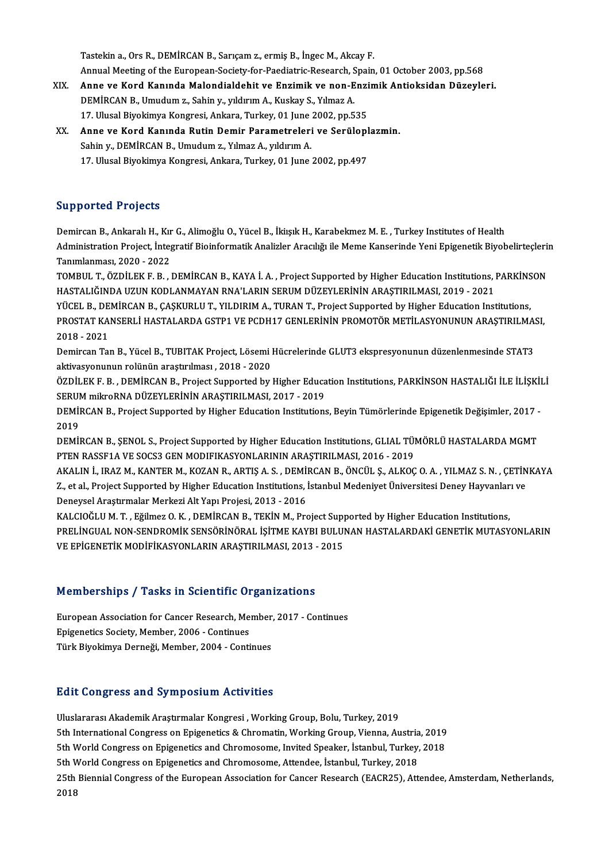Tastekina.,OrsR.,DEMİRCANB.,Sarıçamz.,ermişB., İngecM.,AkcayF.

- Annual Meeting of the European-Society-for-Paediatric-Research, Spain, 01 October 2003, pp.568 XIX. Anne ve Kord KanındaMalondialdehit ve Enzimik ve non-Enzimik Antioksidan Düzeyleri. DEMİRCANB.,Umudumz.,Sahiny.,yıldırımA.,Kuskay S.,YılmazA. 17. Ulusal Biyokimya Kongresi, Ankara, Turkey, 01 June 2002, pp.535 DEMİRCAN B., Umudum z., Sahin y., yıldırım A., Kuskay S., Yılmaz A.<br>17. Ulusal Biyokimya Kongresi, Ankara, Turkey, 01 June 2002, pp.535<br>XX. Anne ve Kord Kanında Rutin Demir Parametreleri ve Serüloplazmin.<br>Sahin v. DEMİRCAN
- Sahin y., DEMİRCAN B., Umudum z., Yılmaz A., yıldırım A.<br>17. Ulusal Biyokimya Kongresi, Ankara, Turkey, 01 June 2002, pp.497 Anne ve Kord Kanında Rutin Demir Parametreleri ve Serülopl<br>Sahin y., DEMİRCAN B., Umudum z., Yılmaz A., yıldırım A.<br>17. Ulusal Biyokimya Kongresi, Ankara, Turkey, 01 June 2002, pp.497

# Supported Projects

**Supported Projects**<br>Demircan B., Ankaralı H., Kır G., Alimoğlu O., Yücel B., İkiışık H., Karabekmez M. E. , Turkey Institutes of Health<br>Administration Project, İntegratif Bioinformatik Analirler Araglığı ile Meme Kansarın Bupportect in ojects<br>Demircan B., Ankaralı H., Kır G., Alimoğlu O., Yücel B., İkiışık H., Karabekmez M. E. , Turkey Institutes of Health<br>Administration Project, İntegratif Bioinformatik Analizler Aracılığı ile Meme Kanseri **Demircan B., Ankaralı H., Kır<br>Administration Project, İnteş<br>Tanımlanması, 2020 - 2022<br>TOMBUL T. ÖZDİLEKE B.** Administration Project, İntegratif Bioinformatik Analizler Aracılığı ile Meme Kanserinde Yeni Epigenetik Biyobelirteçleri<br>Tanımlanması, 2020 - 2022<br>TOMBUL T., ÖZDİLEK F. B. , DEMİRCAN B., KAYA İ. A. , Project Supported by

Tanımlanması, 2020 - 2022<br>TOMBUL T., ÖZDİLEK F. B. , DEMİRCAN B., KAYA İ. A. , Project Supported by Higher Education Institutions, PARKİNSON<br>HASTALIĞINDA UZUN KODLANMAYAN RNA'LARIN SERUM DÜZEYLERİNİN ARAŞTIRILMASI, 2019 - TOMBUL T., ÖZDİLEK F. B. , DEMİRCAN B., KAYA İ. A. , Project Supported by Higher Education Institutions, PARKİNS<br>HASTALIĞINDA UZUN KODLANMAYAN RNA'LARIN SERUM DÜZEYLERİNİN ARAŞTIRILMASI, 2019 - 2021<br>YÜCEL B., DEMİRCAN B.,

HASTALIĞINDA UZUN KODLANMAYAN RNA'LARIN SERUM DÜZEYLERİNİN ARAŞTIRILMASI, 2019 - 2021<br>YÜCEL B., DEMİRCAN B., ÇAŞKURLU T., YILDIRIM A., TURAN T., Project Supported by Higher Education Institutions,<br>PROSTAT KANSERLİ HASTALAR YÜCEL B., DE<br>PROSTAT KA<br>2018 - 2021<br>Domiran Tal

PROSTAT KANSERLİ HASTALARDA GSTP1 VE PCDH17 GENLERİNİN PROMOTÖR METİLASYONUNUN ARAŞTIRILMASI,<br>2018 - 2021<br>Demircan Tan B., Yücel B., TUBITAK Project, Lösemi Hücrelerinde GLUT3 ekspresyonunun düzenlenmesinde STAT3<br>aktivasyo Demircan Tan B., Yücel B., TUBITAK Project, Lösemi Hücrelerinde GLUT3 ekspresyonunun düzenlenmesinde STAT3 Demircan Tan B., Yücel B., TUBITAK Project, Lösemi Hücrelerinde GLUT3 ekspresyonunun düzenlenmesinde STAT3<br>aktivasyonunun rolünün araştırılması , 2018 - 2020<br>ÖZDİLEK F. B. , DEMİRCAN B., Project Supported by Higher Educati

aktivasyonunun rolünün araştırılması , 2018 - 2020<br>ÖZDİLEK F. B. , DEMİRCAN B., Project Supported by Higher Educa<br>SERUM mikroRNA DÜZEYLERİNİN ARAŞTIRILMASI, 2017 - 2019<br>DEMİRCAN B. Project Supported by Higher Education Ins ÖZDİLEK F. B. , DEMİRCAN B., Project Supported by Higher Education Institutions, PARKİNSON HASTALIĞI İLE İLİŞKİI<br>SERUM mikroRNA DÜZEYLERİNİN ARAŞTIRILMASI, 2017 - 2019<br>DEMİRCAN B., Project Supported by Higher Education Ins

SERUM mikroRNA DÜZEYLERİNİN ARAŞTIRILMASI, 2017 - 2019<br>DEMİRCAN B., Project Supported by Higher Education Institution<br>2019 DEMİRCAN B., Project Supported by Higher Education Institutions, Beyin Tümörlerinde Epigenetik Değişimler, 2017 -<br>2019<br>DEMİRCAN B., ŞENOL S., Project Supported by Higher Education Institutions, GLIAL TÜMÖRLÜ HASTALARDA MGM

DEMIRCAN B., ŞENOL S., Project Supported by Higher Education Institutions, GLIAL TÜMÖRLÜ HASTALARDA MGMT

AKALIN İ., IRAZ M., KANTER M., KOZAN R., ARTIŞ A. S. , DEMİRCAN B., ÖNCÜL Ş., ALKOÇ O. A. , YILMAZ S. N. , ÇETİNKAYA PTEN RASSF1A VE SOCS3 GEN MODIFIKASYONLARININ ARAŞTIRILMASI, 2016 - 2019<br>AKALIN İ., IRAZ M., KANTER M., KOZAN R., ARTIŞ A. S. , DEMİRCAN B., ÖNCÜL Ş., ALKOÇ O. A. , YILMAZ S. N. , ÇETİN<br>Z., et al., Project Supported by Hig AKALIN İ., IRAZ M., KANTER M., KOZAN R., ARTIŞ A. S. , DEMİ!<br>Z., et al., Project Supported by Higher Education Institutions, İ<br>Deneysel Araştırmalar Merkezi Alt Yapı Projesi, 2013 - 2016<br>KALGIQĞLILM T., Fğilmez Q. K., DEMİ Z., et al., Project Supported by Higher Education Institutions, İstanbul Medeniyet Üniversitesi Deney Hayvanlar<br>Deneysel Araştırmalar Merkezi Alt Yapı Projesi, 2013 - 2016<br>KALCIOĞLU M. T. , Eğilmez O. K. , DEMİRCAN B., TEK

Deneysel Araştırmalar Merkezi Alt Yapı Projesi, 2013 - 2016<br>KALCIOĞLU M. T. , Eğilmez O. K. , DEMİRCAN B., TEKİN M., Project Supported by Higher Education Institutions,<br>PRELİNGUAL NON-SENDROMİK SENSÖRİNÖRAL İŞİTME KAYBI BU KALCIOĞLU M. T. , Eğilmez O. K. , DEMİRCAN B., TEKİN M., Project Sup<sub>l</sub><br>PRELİNGUAL NON-SENDROMİK SENSÖRİNÖRAL İŞİTME KAYBI BULUI<br>VE EPİGENETİK MODİFİKASYONLARIN ARAŞTIRILMASI, 2013 - 2015

# ve erigenetik modifikasyonlakin akaştıkılması, 2013 -<br>Memberships / Tasks in Scientific Organizations

Memberships / Tasks in Scientific Organizations<br>European Association for Cancer Research, Member, 2017 - Continues<br>Enigenctics Society, Member, 2006, Continues Epigenetics Society, Member, 2006 - Continues<br>Türk Bivokimya Derneği, Member, 2004 - Continues European Association for Cancer Research, Member, 2017 - Continues

# **Edit Congress and Symposium Activities**

UluslararasıAkademikAraştırmalarKongresi ,WorkingGroup,Bolu,Turkey,2019 5th Ionigh Coo und Cympoorum ricervreico<br>Uluslararası Akademik Araştırmalar Kongresi , Working Group, Bolu, Turkey, 2019<br>5th Morld Congress on Epigenetics and Chromatoma Invited Speaker, Istanbul, Turkey, 2019 Uluslararası Akademik Araştırmalar Kongresi , Working Group, Bolu, Turkey, 2019<br>5th International Congress on Epigenetics & Chromatin, Working Group, Vienna, Austria, 2019<br>5th World Congress on Epigenetics and Chromosome, 5th International Congress on Epigenetics & Chromatin, Working Group, Vienna, Austria<br>5th World Congress on Epigenetics and Chromosome, Invited Speaker, İstanbul, Turkey,<br>5th World Congress on Epigenetics and Chromosome, A 5th World Congress on Epigenetics and Chromosome, Invited Speaker, İstanbul, Turkey, 2018<br>5th World Congress on Epigenetics and Chromosome, Attendee, İstanbul, Turkey, 2018<br>25th Biennial Congress of the European Associatio 5th V<br>25th<br>2018